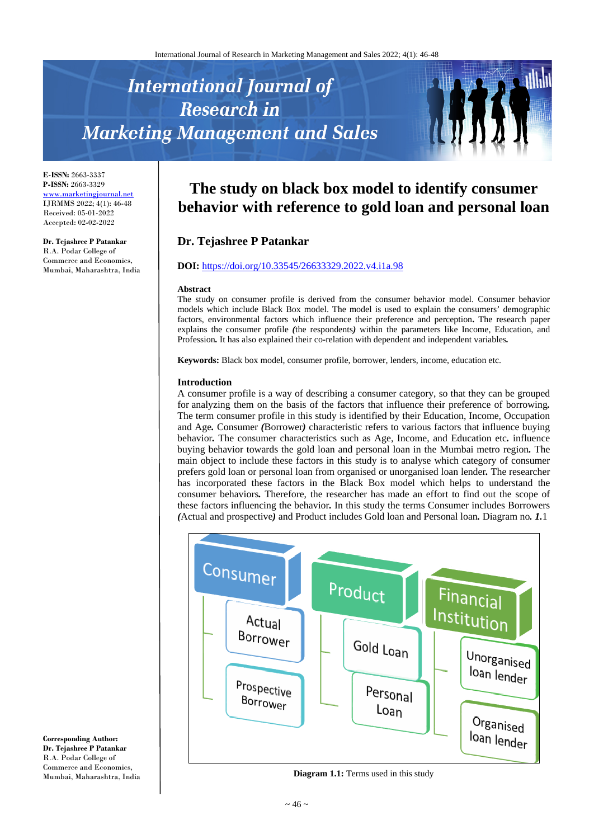# **International Journal of Research in Marketing Management and Sales**



**E-ISSN:** 2663-3337 **P-ISSN:** 2663-3329 [www.marketingjournal.net](http://www.marketingjournal.net/) IJRMMS 2022; 4(1): 46-48 Received: 05-01-2022 Accepted: 02-02-2022

**Dr. Tejashree P Patankar** R.A. Podar College of Commerce and Economics, Mumbai, Maharashtra, India

# **The study on black box model to identify consumer behavior with reference to gold loan and personal loan**

# **Dr. Tejashree P Patankar**

#### **DOI:** <https://doi.org/10.33545/26633329.2022.v4.i1a.98>

#### **Abstract**

The study on consumer profile is derived from the consumer behavior model. Consumer behavior models which include Black Box model. The model is used to explain the consumers' demographic factors, environmental factors which influence their preference and perception**.** The research paper explains the consumer profile *(*the respondents*)* within the parameters like Income, Education, and Profession*.* It has also explained their co*-*relation with dependent and independent variables*.*

**Keywords:** Black box model, consumer profile, borrower, lenders, income, education etc.

#### **Introduction**

A consumer profile is a way of describing a consumer category, so that they can be grouped for analyzing them on the basis of the factors that influence their preference of borrowing*.*  The term consumer profile in this study is identified by their Education, Income, Occupation and Age*.* Consumer *(*Borrower*)* characteristic refers to various factors that influence buying behavior*.* The consumer characteristics such as Age, Income, and Education etc*.* influence buying behavior towards the gold loan and personal loan in the Mumbai metro region*.* The main object to include these factors in this study is to analyse which category of consumer prefers gold loan or personal loan from organised or unorganised loan lender*.* The researcher has incorporated these factors in the Black Box model which helps to understand the consumer behaviors*.* Therefore, the researcher has made an effort to find out the scope of these factors influencing the behavior*.* In this study the terms Consumer includes Borrowers *(*Actual and prospective*)* and Product includes Gold loan and Personal loan*.* Diagram no*. 1.*1



**Diagram 1.1:** Terms used in this study

**Corresponding Author: Dr. Tejashree P Patankar** R.A. Podar College of Commerce and Economics, Mumbai, Maharashtra, India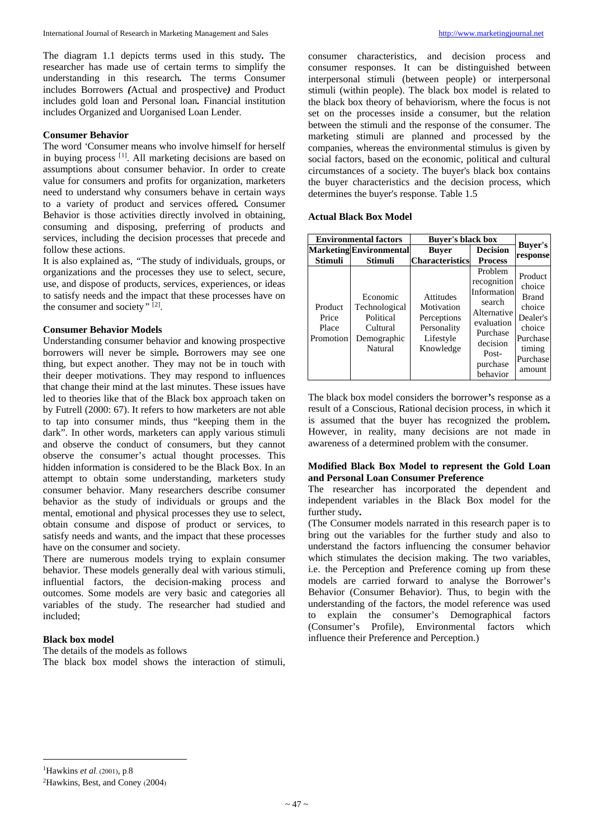The diagram 1.1 depicts terms used in this study*.* The researcher has made use of certain terms to simplify the understanding in this research*.* The terms Consumer includes Borrowers *(*Actual and prospective*)* and Product includes gold loan and Personal loan*.* Financial institution includes Organized and Uorganised Loan Lender*.*

#### **Consumer Behavior**

The word *'*Consumer means who involve himself for herself in buying process <sup>[[1](#page-1-0)]</sup>. All marketing decisions are based on assumptions about consumer behavior. In order to create value for consumers and profits for organization, marketers need to understand why consumers behave in certain ways to a variety of product and services offered*.* Consumer Behavior is those activities directly involved in obtaining, consuming and disposing, preferring of products and services, including the decision processes that precede and follow these actions.

It is also explained as, *"*The study of individuals, groups, or organizations and the processes they use to select, secure, use, and dispose of products, services, experiences, or ideas to satisfy needs and the impact that these processes have on the consumer and society*"* [[2\]](#page-1-1) .

### **Consumer Behavior Models**

Understanding consumer behavior and knowing prospective borrowers will never be simple*.* Borrowers may see one thing, but expect another. They may not be in touch with their deeper motivations. They may respond to influences that change their mind at the last minutes. These issues have led to theories like that of the Black box approach taken on by Futrell (2000: 67). It refers to how marketers are not able to tap into consumer minds, thus "keeping them in the dark". In other words, marketers can apply various stimuli and observe the conduct of consumers, but they cannot observe the consumer's actual thought processes. This hidden information is considered to be the Black Box. In an attempt to obtain some understanding, marketers study consumer behavior. Many researchers describe consumer behavior as the study of individuals or groups and the mental, emotional and physical processes they use to select, obtain consume and dispose of product or services, to satisfy needs and wants, and the impact that these processes have on the consumer and society.

There are numerous models trying to explain consumer behavior. These models generally deal with various stimuli, influential factors, the decision-making process and outcomes. Some models are very basic and categories all variables of the study. The researcher had studied and included;

# **Black box model**

<span id="page-1-1"></span><span id="page-1-0"></span> $\overline{\phantom{a}}$ 

The details of the models as follows The black box model shows the interaction of stimuli, consumer characteristics, and decision process and consumer responses. It can be distinguished between interpersonal stimuli (between people) or interpersonal stimuli (within people). The black box model is related to the black box theory of behaviorism, where the focus is not set on the processes inside a consumer, but the relation between the stimuli and the response of the consumer. The marketing stimuli are planned and processed by the companies, whereas the environmental stimulus is given by social factors, based on the economic, political and cultural circumstances of a society. The buyer's black box contains the buyer characteristics and the decision process, which determines the buyer's response. Table 1.5

#### **Actual Black Box Model**

| <b>Environmental factors</b>           |                                                                              | <b>Buyer's black box</b>                                                               |                                                                                                                                       |                                                                                                               |
|----------------------------------------|------------------------------------------------------------------------------|----------------------------------------------------------------------------------------|---------------------------------------------------------------------------------------------------------------------------------------|---------------------------------------------------------------------------------------------------------------|
| <b>Stimuli</b>                         | <b>Marketing</b> Environmental<br>Stimuli                                    | <b>Buver</b><br><b>Characteristics</b>                                                 | <b>Decision</b><br><b>Process</b>                                                                                                     | Buyer's<br>response                                                                                           |
| Product<br>Price<br>Place<br>Promotion | Economic<br>Technological<br>Political<br>Cultural<br>Demographic<br>Natural | <b>Attitudes</b><br>Motivation<br>Perceptions<br>Personality<br>Lifestyle<br>Knowledge | Problem<br>recognition<br>Information<br>search<br>Alternative<br>evaluation<br>Purchase<br>decision<br>Post-<br>purchase<br>behavior | Product<br>choice<br><b>Brand</b><br>choice<br>Dealer's<br>choice<br>Purchase<br>timing<br>Purchase<br>amount |

The black box model considers the borrower*'*s response as a result of a Conscious, Rational decision process, in which it is assumed that the buyer has recognized the problem*.*  However, in reality, many decisions are not made in awareness of a determined problem with the consumer.

#### **Modified Black Box Model to represent the Gold Loan and Personal Loan Consumer Preference**

The researcher has incorporated the dependent and independent variables in the Black Box model for the further study*.*

(The Consumer models narrated in this research paper is to bring out the variables for the further study and also to understand the factors influencing the consumer behavior which stimulates the decision making. The two variables, i.e. the Perception and Preference coming up from these models are carried forward to analyse the Borrower's Behavior (Consumer Behavior). Thus, to begin with the understanding of the factors, the model reference was used to explain the consumer's Demographical factors (Consumer's Profile), Environmental factors which influence their Preference and Perception.)